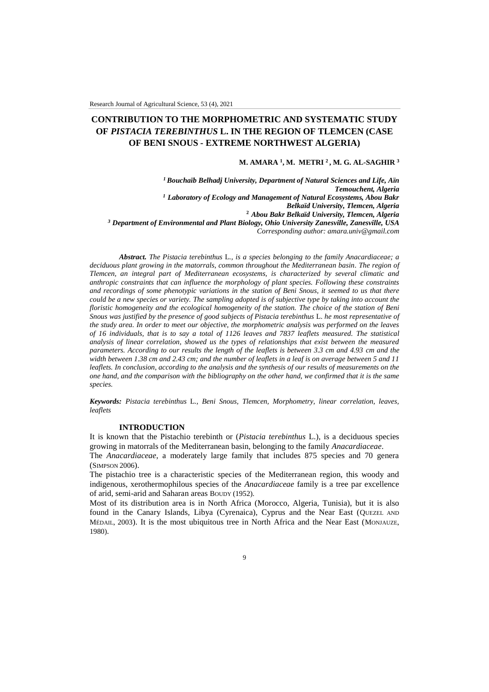# **CONTRIBUTION TO THE MORPHOMETRIC AND SYSTEMATIC STUDY OF** *PISTACIA TEREBINTHUS* **L. IN THE REGION OF TLEMCEN (CASE OF BENI SNOUS - EXTREME NORTHWEST ALGERIA)**

#### **M. AMARA <sup>1</sup> , M. METRI <sup>2</sup>, M. G. AL-SAGHIR <sup>3</sup>**

*<sup>1</sup>Bouchaïb Belhadj University, Department of Natural Sciences and Life, Aïn Temouchent, Algeria <sup>1</sup> Laboratory of Ecology and Management of Natural Ecosystems, Abou Bakr Belkaïd University, Tlemcen, Algeria* **<sup>2</sup>***Abou Bakr Belkaïd University, Tlemcen, Algeria <sup>3</sup> Department of Environmental and Plant Biology, Ohio University Zanesville, Zanesville, USA Corresponding author: amara.univ@gmail.com*

*Abstract. The Pistacia terebinthus* L*., is a species belonging to the family Anacardiaceae; a*  deciduous plant growing in the matorrals, common throughout the Mediterranean basin. The region of *Tlemcen, an integral part of Mediterranean ecosystems, is characterized by several climatic and anthropic constraints that can influence the morphology of plant species. Following these constraints and recordings of some phenotypic variations in the station of Beni Snous, it seemed to us that there could be a new species or variety. The sampling adopted is of subjective type by taking into account the floristic homogeneity and the ecological homogeneity of the station. The choice of the station of Beni Snous was justified by the presence of good subjects of Pistacia terebinthus* L. *he most representative of the study area. In order to meet our objective, the morphometric analysis was performed on the leaves of 16 individuals, that is to say a total of 1126 leaves and 7837 leaflets measured. The statistical analysis of linear correlation, showed us the types of relationships that exist between the measured parameters. According to our results the length of the leaflets is between 3.3 cm and 4.93 cm and the width between 1.38 cm and 2.43 cm; and the number of leaflets in a leaf is on average between 5 and 11 leaflets. In conclusion, according to the analysis and the synthesis of our results of measurements on the one hand, and the comparison with the bibliography on the other hand, we confirmed that it is the same species.*

*Keywords: Pistacia terebinthus* L*., Beni Snous, Tlemcen, Morphometry, linear correlation, leaves, leaflets*

#### **INTRODUCTION**

It is known that the Pistachio terebinth or (*Pistacia terebinthus* L.), is a deciduous species growing in matorrals of the Mediterranean basin, belonging to the family *Anacardiaceae*.

The *Anacardiaceae*, a moderately large family that includes 875 species and 70 genera (SIMPSON 2006).

The pistachio tree is a characteristic species of the Mediterranean region, this woody and indigenous, xerothermophilous species of the *Anacardiaceae* family is a tree par excellence of arid, semi-arid and Saharan areas BOUDY (1952).

Most of its distribution area is in North Africa (Morocco, Algeria, Tunisia), but it is also found in the Canary Islands, Libya (Cyrenaica), Cyprus and the Near East (QUEZEL AND MÉDAIL, 2003). It is the most ubiquitous tree in North Africa and the Near East (MONJAUZE, 1980).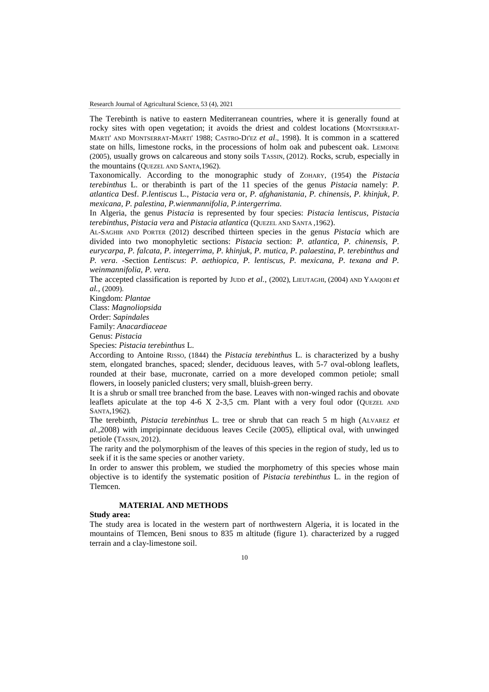The Terebinth is native to eastern Mediterranean countries, where it is generally found at rocky sites with open vegetation; it avoids the driest and coldest locations (MONTSERRAT-MARTI' AND MONTSERRAT-MARTI' 1988; CASTRO-DI'EZ *et al*., 1998). It is common in a scattered state on hills, limestone rocks, in the processions of holm oak and pubescent oak. LEMOINE (2005), usually grows on calcareous and stony soils TASSIN, (2012). Rocks, scrub, especially in the mountains (QUEZEL AND SANTA,1962).

Taxonomically. According to the monographic study of ZOHARY, (1954) the *Pistacia terebinthus* L. or therabinth is part of the 11 species of the genus *Pistacia* namely: *P. atlantica* Desf. *P.lentiscus* L., *Pistacia vera* or, *P. afghanistania*, *P. chinensis*, *P. khinjuk*, *P. mexicana, P. palestina, P.wienmannifolia, P.intergerrima.*

In Algeria, the genus *Pistacia* is represented by four species: *Pistacia lentiscus*, *Pistacia terebinthus*, *Pistacia vera* and *Pistacia atlantica* (QUEZEL AND SANTA ,1962).

AL-SAGHIR AND PORTER (2012) described thirteen species in the genus *Pistacia* which are divided into two monophyletic sections: *Pistacia* section: *P. atlantica, P. chinensis, P. eurycarpa, P. falcata, P. integerrima, P. khinjuk, P. mutica, P. palaestina, P. terebinthus and P. vera*. -Section *Lentiscus*: *P. aethiopica, P. lentiscus, P. mexicana, P. texana and P. weinmannifolia, P. vera.*

The accepted classification is reported by JUDD *et al.*, (2002), LIEUTAGHI, (2004) AND YAAQOBI *et al.,* (2009).

Kingdom: *Plantae*

Class: *Magnoliopsida*

Order: *Sapindales* Family: *Anacardiaceae*

Genus: *Pistacia*

Species: *Pistacia terebinthus* L.

According to Antoine RISSO, (1844) the *Pistacia terebinthus* L. is characterized by a bushy stem, elongated branches, spaced; slender, deciduous leaves, with 5-7 oval-oblong leaflets, rounded at their base, mucronate, carried on a more developed common petiole; small flowers, in loosely panicled clusters; very small, bluish-green berry.

It is a shrub or small tree branched from the base. Leaves with non-winged rachis and obovate leaflets apiculate at the top  $4-6$  X  $2-3.5$  cm. Plant with a very foul odor (QUEZEL AND SANTA,1962).

The terebinth, *Pistacia terebinthus* L. tree or shrub that can reach 5 m high (ALVAREZ *et al.,*2008) with impripinnate deciduous leaves Cecile (2005), elliptical oval, with unwinged petiole (TASSIN, 2012).

The rarity and the polymorphism of the leaves of this species in the region of study, led us to seek if it is the same species or another variety.

In order to answer this problem, we studied the morphometry of this species whose main objective is to identify the systematic position of *Pistacia terebinthus* L. in the region of Tlemcen.

# **MATERIAL AND METHODS**

#### **Study area:**

The study area is located in the western part of northwestern Algeria, it is located in the mountains of Tlemcen, Beni snous to 835 m altitude (figure 1). characterized by a rugged terrain and a clay-limestone soil.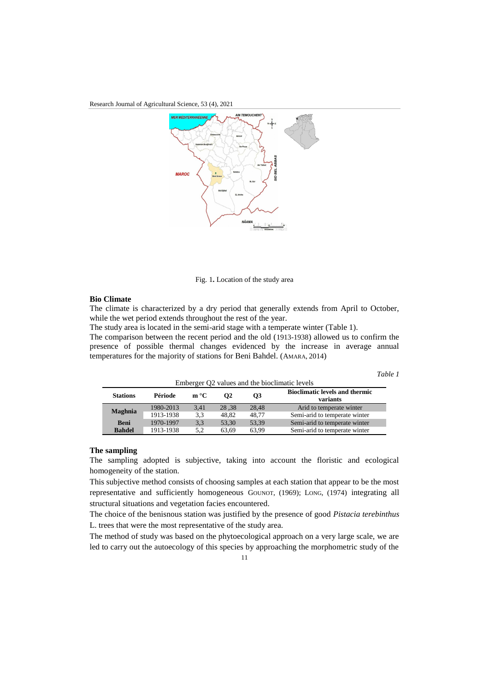Research Journal of Agricultural Science, 53 (4), 2021



Fig. 1**.** Location of the study area

#### **Bio Climate**

The climate is characterized by a dry period that generally extends from April to October, while the wet period extends throughout the rest of the year.

The study area is located in the semi-arid stage with a temperate winter (Table 1).

The comparison between the recent period and the old (1913-1938) allowed us to confirm the presence of possible thermal changes evidenced by the increase in average annual temperatures for the majority of stations for Beni Bahdel. (AMARA, 2014)

*Table 1*

| Emberger Q2 values and the bioclimatic levels |           |              |                |           |                                                   |  |  |  |  |
|-----------------------------------------------|-----------|--------------|----------------|-----------|---------------------------------------------------|--|--|--|--|
| <b>Stations</b>                               | Période   | $m^{\circ}C$ | O <sub>2</sub> | <b>O3</b> | <b>Bioclimatic levels and thermic</b><br>variants |  |  |  |  |
| Maghnia                                       | 1980-2013 | 3.41         | 28.38          | 28.48     | Arid to temperate winter                          |  |  |  |  |
|                                               | 1913-1938 | 3.3          | 48.82          | 48.77     | Semi-arid to temperate winter                     |  |  |  |  |
| <b>Beni</b>                                   | 1970-1997 | 3.3          | 53.30          | 53.39     | Semi-arid to temperate winter                     |  |  |  |  |
| <b>Bahdel</b>                                 | 1913-1938 | 5.2          | 63.69          | 63.99     | Semi-arid to temperate winter                     |  |  |  |  |

# **The sampling**

The sampling adopted is subjective, taking into account the floristic and ecological homogeneity of the station.

This subjective method consists of choosing samples at each station that appear to be the most representative and sufficiently homogeneous GOUNOT, (1969); LONG, (1974) integrating all structural situations and vegetation facies encountered.

The choice of the benisnous station was justified by the presence of good *Pistacia terebinthus* L. trees that were the most representative of the study area.

The method of study was based on the phytoecological approach on a very large scale, we are led to carry out the autoecology of this species by approaching the morphometric study of the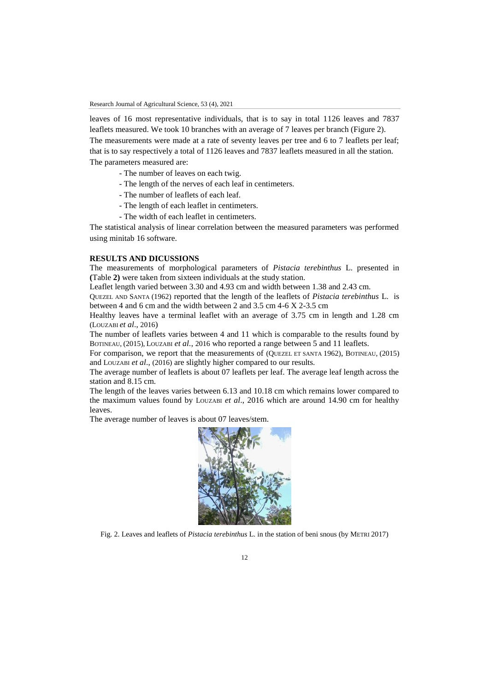leaves of 16 most representative individuals, that is to say in total 1126 leaves and 7837 leaflets measured. We took 10 branches with an average of 7 leaves per branch (Figure 2). The measurements were made at a rate of seventy leaves per tree and 6 to 7 leaflets per leaf; that is to say respectively a total of 1126 leaves and 7837 leaflets measured in all the station. The parameters measured are:

- The number of leaves on each twig.
- The length of the nerves of each leaf in centimeters.
- The number of leaflets of each leaf.
- The length of each leaflet in centimeters.
- The width of each leaflet in centimeters.

The statistical analysis of linear correlation between the measured parameters was performed using minitab 16 software.

# **RESULTS AND DICUSSIONS**

The measurements of morphological parameters of *Pistacia terebinthus* L. presented in **(**Table **2)** were taken from sixteen individuals at the study station.

Leaflet length varied between 3.30 and 4.93 cm and width between 1.38 and 2.43 cm.

QUEZEL AND SANTA (1962) reported that the length of the leaflets of *Pistacia terebinthus* L. is between 4 and 6 cm and the width between 2 and 3.5 cm 4-6 X 2-3.5 cm

Healthy leaves have a terminal leaflet with an average of 3.75 cm in length and 1.28 cm (LOUZABI *et al*., 2016)

The number of leaflets varies between 4 and 11 which is comparable to the results found by BOTINEAU, (2015), LOUZABI *et al.*, 2016 who reported a range between 5 and 11 leaflets.

For comparison, we report that the measurements of (QUEZEL ET SANTA 1962), BOTINEAU, (2015) and LOUZABI *et al*., (2016) are slightly higher compared to our results.

The average number of leaflets is about 07 leaflets per leaf. The average leaf length across the station and 8.15 cm.

The length of the leaves varies between 6.13 and 10.18 cm which remains lower compared to the maximum values found by LOUZABI *et al*., 2016 which are around 14.90 cm for healthy leaves.

The average number of leaves is about 07 leaves/stem.



Fig. 2. Leaves and leaflets of *Pistacia terebinthus* L. in the station of beni snous (by METRI 2017)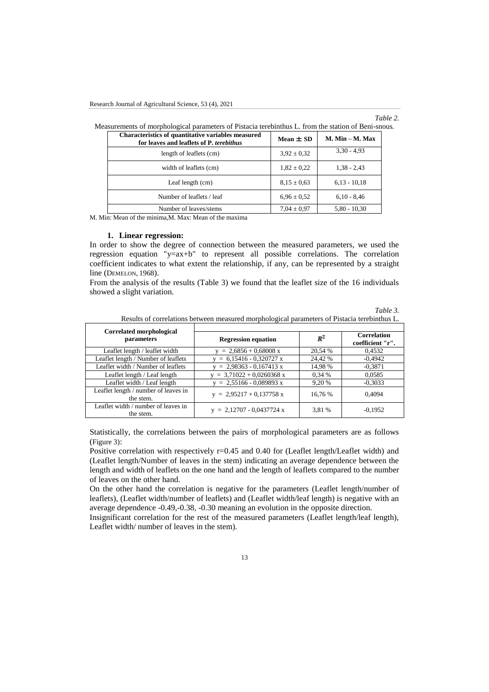#### *Table 2.*

*Table 3.* 

| Characteristics of quantitative variables measured<br>for leaves and leaflets of P. terebithus | Mean $\pm$ SD   | $M.$ Min $- M.$ Max |
|------------------------------------------------------------------------------------------------|-----------------|---------------------|
| length of leaflets (cm)                                                                        | $3.92 \pm 0.32$ | $3,30 - 4,93$       |
| width of leaflets (cm)                                                                         | $1,82 \pm 0.22$ | $1,38 - 2,43$       |
| Leaf length (cm)                                                                               | $8.15 \pm 0.63$ | $6,13 - 10,18$      |
| Number of leaflets / leaf                                                                      | $6.96 \pm 0.52$ | $6,10 - 8,46$       |
| Number of leaves/stems                                                                         | $7.04 \pm 0.97$ | $5,80 - 10,30$      |

M. Min: Mean of the minima,M. Max: Mean of the maxima

#### **1. Linear regression:**

In order to show the degree of connection between the measured parameters, we used the regression equation "y=ax+b" to represent all possible correlations. The correlation coefficient indicates to what extent the relationship, if any, can be represented by a straight line (DEMELON, 1968).

From the analysis of the results (Table 3) we found that the leaflet size of the 16 individuals showed a slight variation.

| Results of correlations between measured morphological parameters of Pistacia terebinthus L. |                             |         |                                        |  |  |  |  |
|----------------------------------------------------------------------------------------------|-----------------------------|---------|----------------------------------------|--|--|--|--|
| Correlated morphological<br>parameters                                                       | <b>Regression equation</b>  | $R^2$   | <b>Correlation</b><br>coefficient "r". |  |  |  |  |
| Leaflet length / leaflet width                                                               | $= 2,6856 + 0,68008$ x      | 20,54 % | 0,4532                                 |  |  |  |  |
| Leaflet length / Number of leaflets                                                          | $= 6,15416 - 0,320727$ x    | 24,42 % | $-0.4942$                              |  |  |  |  |
| Leaflet width / Number of leaflets                                                           | $= 2,98363 - 0,167413$ x    | 14,98 % | $-0,3871$                              |  |  |  |  |
| Leaflet length / Leaf length                                                                 | $= 3,71022 + 0,0260368$ x   | 0.34%   | 0,0585                                 |  |  |  |  |
| Leaflet width / Leaf length                                                                  | $= 2,55166 - 0,089893$ x    | 9,20 %  | $-0,3033$                              |  |  |  |  |
| Leaflet length / number of leaves in<br>the stem.                                            | $y = 2,95217 + 0,137758 x$  | 16.76 % | 0.4094                                 |  |  |  |  |
| Leaflet width / number of leaves in<br>the stem.                                             | $y = 2,12707 - 0,0437724 x$ | 3.81 %  | $-0.1952$                              |  |  |  |  |

Statistically, the correlations between the pairs of morphological parameters are as follows (Figure 3):

Positive correlation with respectively  $r=0.45$  and 0.40 for (Leaflet length/Leaflet width) and (Leaflet length/Number of leaves in the stem) indicating an average dependence between the length and width of leaflets on the one hand and the length of leaflets compared to the number of leaves on the other hand.

On the other hand the correlation is negative for the parameters (Leaflet length/number of leaflets), (Leaflet width/number of leaflets) and (Leaflet width/leaf length) is negative with an average dependence -0.49,-0.38, -0.30 meaning an evolution in the opposite direction.

Insignificant correlation for the rest of the measured parameters (Leaflet length/leaf length), Leaflet width/ number of leaves in the stem).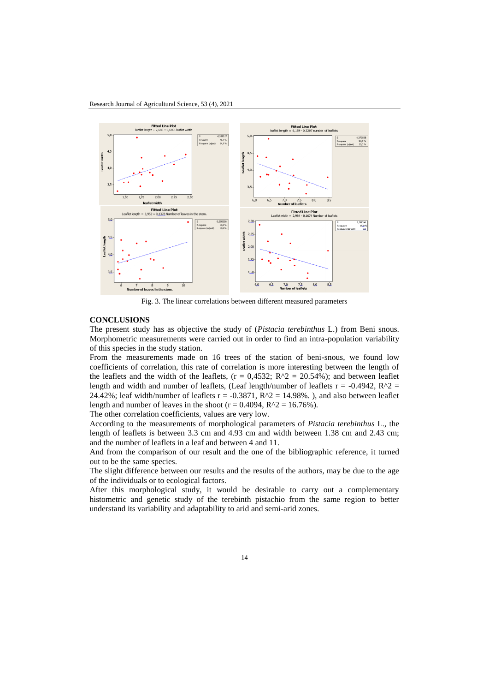

Fig. 3. The linear correlations between different measured parameters

# **CONCLUSIONS**

The present study has as objective the study of (*Pistacia terebinthus* L.) from Beni snous. Morphometric measurements were carried out in order to find an intra-population variability of this species in the study station.

From the measurements made on 16 trees of the station of beni-snous, we found low coefficients of correlation, this rate of correlation is more interesting between the length of the leaflets and the width of the leaflets,  $(r = 0.4532; R^2 = 20.54\%)$ ; and between leaflet length and width and number of leaflets, (Leaf length/number of leaflets  $r = -0.4942$ ,  $R^2 =$ 24.42%; leaf width/number of leaflets  $r = -0.3871$ ,  $R^2 = 14.98\%$ . ), and also between leaflet length and number of leaves in the shoot ( $r = 0.4094$ ,  $R^2 = 16.76\%$ ).

The other correlation coefficients, values are very low.

According to the measurements of morphological parameters of *Pistacia terebinthus* L., the length of leaflets is between 3.3 cm and 4.93 cm and width between 1.38 cm and 2.43 cm; and the number of leaflets in a leaf and between 4 and 11.

And from the comparison of our result and the one of the bibliographic reference, it turned out to be the same species.

The slight difference between our results and the results of the authors, may be due to the age of the individuals or to ecological factors.

After this morphological study, it would be desirable to carry out a complementary histometric and genetic study of the terebinth pistachio from the same region to better understand its variability and adaptability to arid and semi-arid zones.